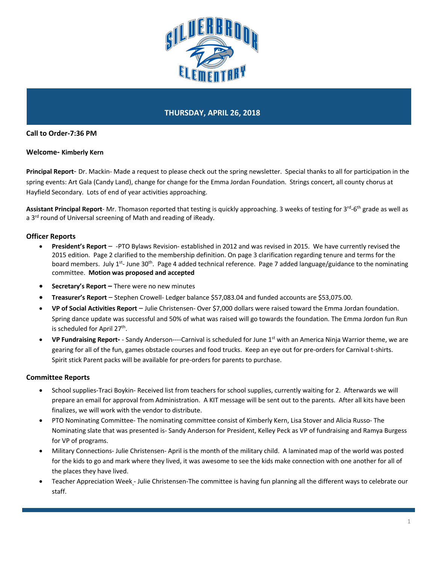

# **THURSDAY, APRIL 26, 2018**

### **Call to Order-7:36 PM**

#### **Welcome- Kimberly Kern**

**Principal Report**- Dr. Mackin- Made a request to please check out the spring newsletter. Special thanks to all for participation in the spring events: Art Gala (Candy Land), change for change for the Emma Jordan Foundation. Strings concert, all county chorus at Hayfield Secondary. Lots of end of year activities approaching.

Assistant Principal Report- Mr. Thomason reported that testing is quickly approaching. 3 weeks of testing for 3<sup>rd</sup>-6<sup>th</sup> grade as well as a 3<sup>rd</sup> round of Universal screening of Math and reading of iReady.

### **Officer Reports**

- **President's Report** -PTO Bylaws Revision- established in 2012 and was revised in 2015. We have currently revised the 2015 edition. Page 2 clarified to the membership definition. On page 3 clarification regarding tenure and terms for the board members. July 1<sup>st</sup>- June 30<sup>th</sup>. Page 4 added technical reference. Page 7 added language/guidance to the nominating committee. **Motion was proposed and accepted**
- **Secretary's Report –** There were no new minutes
- **Treasurer's Report** Stephen Crowell- Ledger balance \$57,083.04 and funded accounts are \$53,075.00.
- **VP of Social Activities Report** Julie Christensen- Over \$7,000 dollars were raised toward the Emma Jordan foundation. Spring dance update was successful and 50% of what was raised will go towards the foundation. The Emma Jordon fun Run is scheduled for April 27<sup>th</sup>.
- **VP Fundraising Report-** Sandy Anderson----Carnival is scheduled for June 1st with an America Ninja Warrior theme, we are gearing for all of the fun, games obstacle courses and food trucks. Keep an eye out for pre-orders for Carnival t-shirts. Spirit stick Parent packs will be available for pre-orders for parents to purchase.

#### **Committee Reports**

- School supplies-Traci Boykin- Received list from teachers for school supplies, currently waiting for 2. Afterwards we will prepare an email for approval from Administration. A KIT message will be sent out to the parents. After all kits have been finalizes, we will work with the vendor to distribute.
- PTO Nominating Committee- The nominating committee consist of Kimberly Kern, Lisa Stover and Alicia Russo- The Nominating slate that was presented is- Sandy Anderson for President, Kelley Peck as VP of fundraising and Ramya Burgess for VP of programs.
- Military Connections- Julie Christensen- April is the month of the military child. A laminated map of the world was posted for the kids to go and mark where they lived, it was awesome to see the kids make connection with one another for all of the places they have lived.
- Teacher Appreciation Week Julie Christensen-The committee is having fun planning all the different ways to celebrate our staff.